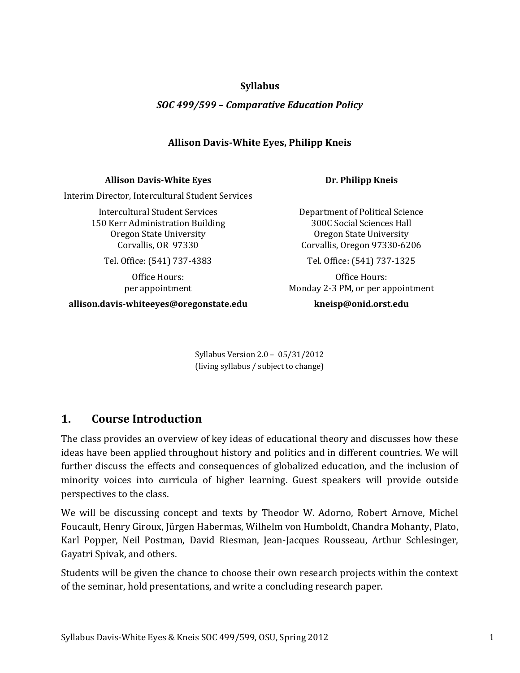### **Syllabus**

### *SOC 499/599 – Comparative Education Policy*

# **Allison Davis-White Eyes, Philipp Kneis**

#### **Allison Davis-White Eyes**

Interim Director, Intercultural Student Services

Intercultural Student Services 150 Kerr Administration Building Oregon State University Corvallis, OR 97330

Tel. Office: (541) 737-4383

Office Hours: per appointment

**allison.davis-whiteeyes@oregonstate.edu**

Department of Political Science 300C Social Sciences Hall Oregon State University Corvallis, Oregon 97330-6206

**Dr. Philipp Kneis**

Tel. Office: (541) 737-1325

Office Hours: Monday 2-3 PM, or per appointment

**kneisp@onid.orst.edu**

Syllabus Version 2.0 – 05/31/2012 (living syllabus / subject to change)

# **1. Course Introduction**

The class provides an overview of key ideas of educational theory and discusses how these ideas have been applied throughout history and politics and in different countries. We will further discuss the effects and consequences of globalized education, and the inclusion of minority voices into curricula of higher learning. Guest speakers will provide outside perspectives to the class.

We will be discussing concept and texts by Theodor W. Adorno, Robert Arnove, Michel Foucault, Henry Giroux, Jürgen Habermas, Wilhelm von Humboldt, Chandra Mohanty, Plato, Karl Popper, Neil Postman, David Riesman, Jean-Jacques Rousseau, Arthur Schlesinger, Gayatri Spivak, and others.

Students will be given the chance to choose their own research projects within the context of the seminar, hold presentations, and write a concluding research paper.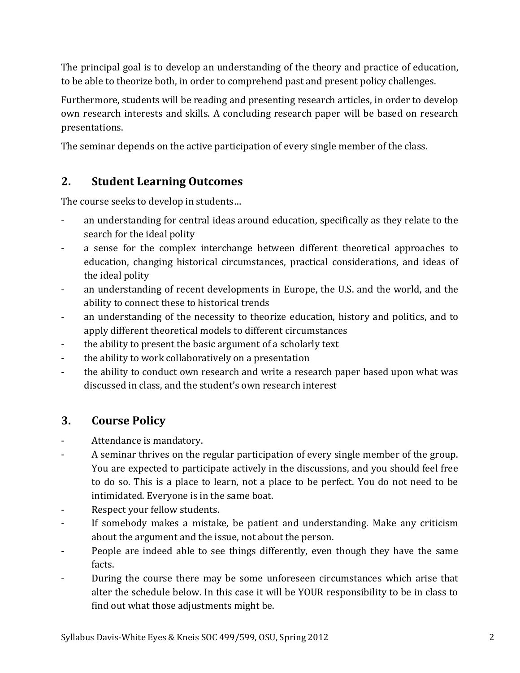The principal goal is to develop an understanding of the theory and practice of education, to be able to theorize both, in order to comprehend past and present policy challenges.

Furthermore, students will be reading and presenting research articles, in order to develop own research interests and skills. A concluding research paper will be based on research presentations.

The seminar depends on the active participation of every single member of the class.

# **2. Student Learning Outcomes**

The course seeks to develop in students…

- an understanding for central ideas around education, specifically as they relate to the search for the ideal polity
- a sense for the complex interchange between different theoretical approaches to education, changing historical circumstances, practical considerations, and ideas of the ideal polity
- an understanding of recent developments in Europe, the U.S. and the world, and the ability to connect these to historical trends
- an understanding of the necessity to theorize education, history and politics, and to apply different theoretical models to different circumstances
- the ability to present the basic argument of a scholarly text
- the ability to work collaboratively on a presentation
- the ability to conduct own research and write a research paper based upon what was discussed in class, and the student's own research interest

# **3. Course Policy**

- Attendance is mandatory.
- A seminar thrives on the regular participation of every single member of the group. You are expected to participate actively in the discussions, and you should feel free to do so. This is a place to learn, not a place to be perfect. You do not need to be intimidated. Everyone is in the same boat.
- Respect your fellow students.
- If somebody makes a mistake, be patient and understanding. Make any criticism about the argument and the issue, not about the person.
- People are indeed able to see things differently, even though they have the same facts.
- During the course there may be some unforeseen circumstances which arise that alter the schedule below. In this case it will be YOUR responsibility to be in class to find out what those adjustments might be.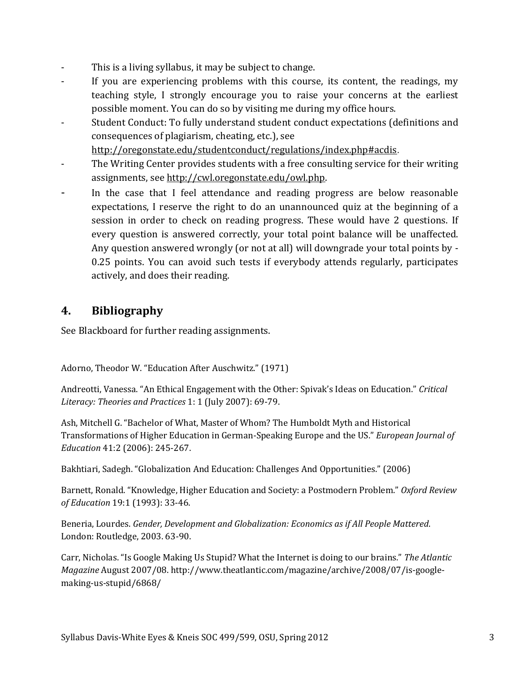- This is a living syllabus, it may be subject to change.
- If you are experiencing problems with this course, its content, the readings, my teaching style, I strongly encourage you to raise your concerns at the earliest possible moment. You can do so by visiting me during my office hours.
- Student Conduct: To fully understand student conduct expectations (definitions and consequences of plagiarism, cheating, etc.), see

<http://oregonstate.edu/studentconduct/regulations/index.php#acdis>.

- The Writing Center provides students with a free consulting service for their writing assignments, see [http://cwl.oregonstate.edu/owl.php.](http://cwl.oregonstate.edu/owl.php)
- In the case that I feel attendance and reading progress are below reasonable expectations, I reserve the right to do an unannounced quiz at the beginning of a session in order to check on reading progress. These would have 2 questions. If every question is answered correctly, your total point balance will be unaffected. Any question answered wrongly (or not at all) will downgrade your total points by - 0.25 points. You can avoid such tests if everybody attends regularly, participates actively, and does their reading.

# **4. Bibliography**

See Blackboard for further reading assignments.

Adorno, Theodor W. "Education After Auschwitz." (1971)

Andreotti, Vanessa. "An Ethical Engagement with the Other: Spivak's Ideas on Education." *Critical Literacy: Theories and Practices* 1: 1 (July 2007): 69-79.

Ash, Mitchell G. "Bachelor of What, Master of Whom? The Humboldt Myth and Historical Transformations of Higher Education in German-Speaking Europe and the US." *European Journal of Education* 41:2 (2006): 245-267.

Bakhtiari, Sadegh. "Globalization And Education: Challenges And Opportunities." (2006)

Barnett, Ronald. "Knowledge, Higher Education and Society: a Postmodern Problem." *Oxford Review of Education* 19:1 (1993): 33-46.

Beneria, Lourdes. *Gender, Development and Globalization: Economics as if All People Mattered*. London: Routledge, 2003. 63-90.

Carr, Nicholas. "Is Google Making Us Stupid? What the Internet is doing to our brains." *The Atlantic Magazine* August 2007/08. http://www.theatlantic.com/magazine/archive/2008/07/is-googlemaking-us-stupid/6868/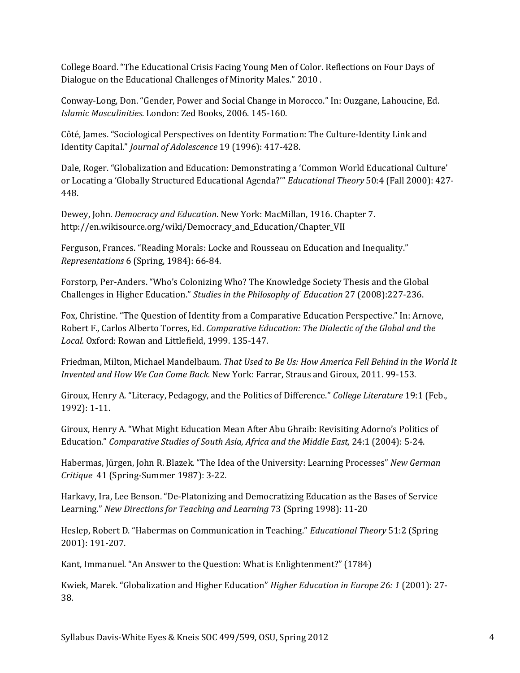College Board. "The Educational Crisis Facing Young Men of Color. Reflections on Four Days of Dialogue on the Educational Challenges of Minority Males." 2010 .

Conway-Long, Don. "Gender, Power and Social Change in Morocco." In: Ouzgane, Lahoucine, Ed. *Islamic Masculinities*. London: Zed Books, 2006. 145-160.

Côté, James. "Sociological Perspectives on Identity Formation: The Culture-Identity Link and Identity Capital." *Journal of Adolescence* 19 (1996): 417-428.

Dale, Roger. "Globalization and Education: Demonstrating a 'Common World Educational Culture' or Locating a 'Globally Structured Educational Agenda?'" *Educational Theory* 50:4 (Fall 2000): 427- 448.

Dewey, John. *Democracy and Education*. New York: MacMillan, 1916. Chapter 7. http://en.wikisource.org/wiki/Democracy\_and\_Education/Chapter\_VII

Ferguson, Frances. "Reading Morals: Locke and Rousseau on Education and Inequality." *Representations* 6 (Spring, 1984): 66-84.

Forstorp, Per-Anders. "Who's Colonizing Who? The Knowledge Society Thesis and the Global Challenges in Higher Education." *Studies in the Philosophy of Education* 27 (2008):227-236.

Fox, Christine. "The Question of Identity from a Comparative Education Perspective." In: Arnove, Robert F., Carlos Alberto Torres, Ed. *Comparative Education: The Dialectic of the Global and the Local.* Oxford: Rowan and Littlefield, 1999. 135-147.

Friedman, Milton, Michael Mandelbaum. *That Used to Be Us: How America Fell Behind in the World It Invented and How We Can Come Back.* New York: Farrar, Straus and Giroux, 2011. 99-153.

Giroux, Henry A. "Literacy, Pedagogy, and the Politics of Difference." *College Literature* 19:1 (Feb., 1992): 1-11.

Giroux, Henry A. "What Might Education Mean After Abu Ghraib: Revisiting Adorno's Politics of Education." *Comparative Studies of South Asia, Africa and the Middle East,* 24:1 (2004): 5-24.

Habermas, Jürgen, John R. Blazek. "The Idea of the University: Learning Processes" *New German Critique* 41 (Spring-Summer 1987): 3-22.

Harkavy, Ira, Lee Benson. "De-Platonizing and Democratizing Education as the Bases of Service Learning." *New Directions for Teaching and Learning* 73 (Spring 1998): 11-20

Heslep, Robert D. "Habermas on Communication in Teaching." *Educational Theory* 51:2 (Spring 2001): 191-207.

Kant, Immanuel. "An Answer to the Question: What is Enlightenment?" (1784)

Kwiek, Marek. "Globalization and Higher Education" *Higher Education in Europe 26: 1* (2001): 27- 38.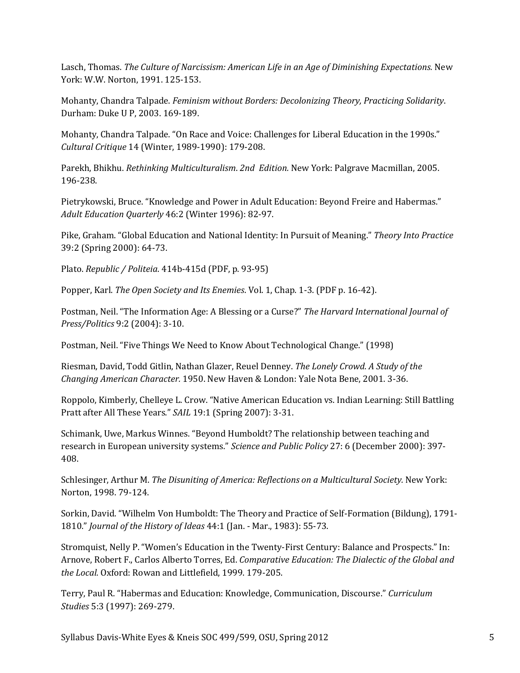Lasch, Thomas. *The Culture of Narcissism: American Life in an Age of Diminishing Expectations.* New York: W.W. Norton, 1991. 125-153.

Mohanty, Chandra Talpade. *Feminism without Borders: Decolonizing Theory, Practicing Solidarity*. Durham: Duke U P, 2003. 169-189.

Mohanty, Chandra Talpade. "On Race and Voice: Challenges for Liberal Education in the 1990s." *Cultural Critique* 14 (Winter, 1989-1990): 179-208.

Parekh, Bhikhu. *Rethinking Multiculturalism*. *2nd Edition.* New York: Palgrave Macmillan, 2005. 196-238.

Pietrykowski, Bruce. "Knowledge and Power in Adult Education: Beyond Freire and Habermas." *Adult Education Quarterly* 46:2 (Winter 1996): 82-97.

Pike, Graham. "Global Education and National Identity: In Pursuit of Meaning." *Theory Into Practice* 39:2 (Spring 2000): 64-73.

Plato. *Republic / Politeia*. 414b-415d (PDF, p. 93-95)

Popper, Karl. *The Open Society and Its Enemies*. Vol. 1, Chap. 1-3. (PDF p. 16-42).

Postman, Neil. "The Information Age: A Blessing or a Curse?" *The Harvard International Journal of Press/Politics* 9:2 (2004): 3-10.

Postman, Neil. "Five Things We Need to Know About Technological Change." (1998)

Riesman, David, Todd Gitlin, Nathan Glazer, Reuel Denney. *The Lonely Crowd. A Study of the Changing American Character.* 1950. New Haven & London: Yale Nota Bene, 2001. 3-36.

Roppolo, Kimberly, Chelleye L. Crow. "Native American Education vs. Indian Learning: Still Battling Pratt after All These Years." *SAIL* 19:1 (Spring 2007): 3-31.

Schimank, Uwe, Markus Winnes. "Beyond Humboldt? The relationship between teaching and research in European university systems." *Science and Public Policy* 27: 6 (December 2000): 397- 408.

Schlesinger, Arthur M. *The Disuniting of America: Reflections on a Multicultural Society.* New York: Norton, 1998. 79-124.

Sorkin, David. "Wilhelm Von Humboldt: The Theory and Practice of Self-Formation (Bildung), 1791- 1810." *Journal of the History of Ideas* 44:1 (Jan. - Mar., 1983): 55-73.

Stromquist, Nelly P. "Women's Education in the Twenty-First Century: Balance and Prospects." In: Arnove, Robert F., Carlos Alberto Torres, Ed. *Comparative Education: The Dialectic of the Global and the Local.* Oxford: Rowan and Littlefield, 1999. 179-205.

Terry, Paul R. "Habermas and Education: Knowledge, Communication, Discourse." *Curriculum Studies* 5:3 (1997): 269-279.

Syllabus Davis-White Eyes & Kneis SOC 499/599, OSU, Spring 2012 5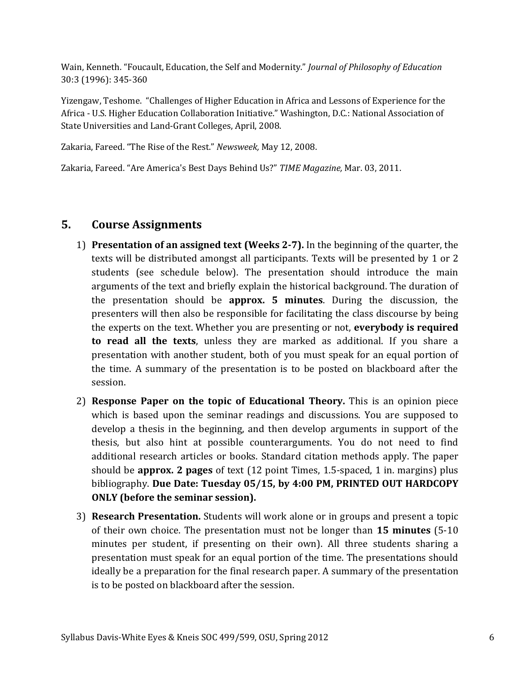Wain, Kenneth. "Foucault, Education, the Self and Modernity." *Journal of Philosophy of Education* 30:3 (1996): 345-360

Yizengaw, Teshome. "Challenges of Higher Education in Africa and Lessons of Experience for the Africa - U.S. Higher Education Collaboration Initiative." Washington, D.C.: National Association of State Universities and Land-Grant Colleges, April, 2008.

Zakaria, Fareed. "The Rise of the Rest." *Newsweek,* May 12, 2008.

Zakaria, Fareed. "Are America's Best Days Behind Us?" *TIME Magazine,* Mar. 03, 2011.

# **5. Course Assignments**

- 1) **Presentation of an assigned text (Weeks 2-7).** In the beginning of the quarter, the texts will be distributed amongst all participants. Texts will be presented by 1 or 2 students (see schedule below). The presentation should introduce the main arguments of the text and briefly explain the historical background. The duration of the presentation should be **approx. 5 minutes**. During the discussion, the presenters will then also be responsible for facilitating the class discourse by being the experts on the text. Whether you are presenting or not, **everybody is required to read all the texts**, unless they are marked as additional. If you share a presentation with another student, both of you must speak for an equal portion of the time. A summary of the presentation is to be posted on blackboard after the session.
- 2) **Response Paper on the topic of Educational Theory.** This is an opinion piece which is based upon the seminar readings and discussions. You are supposed to develop a thesis in the beginning, and then develop arguments in support of the thesis, but also hint at possible counterarguments. You do not need to find additional research articles or books. Standard citation methods apply. The paper should be **approx. 2 pages** of text (12 point Times, 1.5-spaced, 1 in. margins) plus bibliography. **Due Date: Tuesday 05/15, by 4:00 PM, PRINTED OUT HARDCOPY ONLY (before the seminar session).**
- 3) **Research Presentation.** Students will work alone or in groups and present a topic of their own choice. The presentation must not be longer than **15 minutes** (5-10 minutes per student, if presenting on their own). All three students sharing a presentation must speak for an equal portion of the time. The presentations should ideally be a preparation for the final research paper. A summary of the presentation is to be posted on blackboard after the session.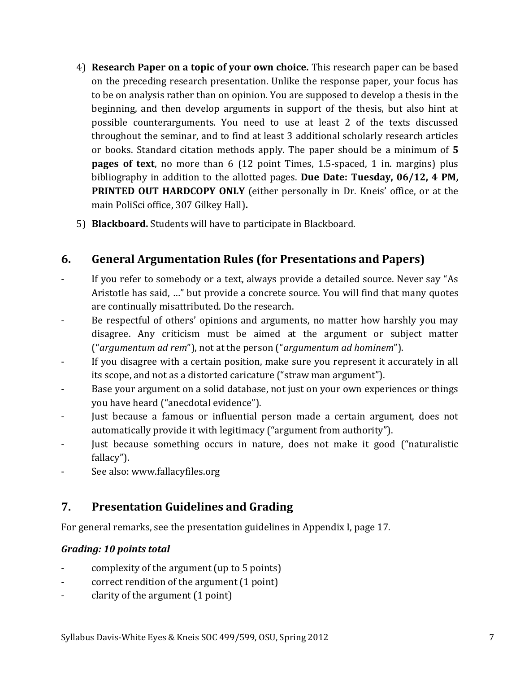- 4) **Research Paper on a topic of your own choice.** This research paper can be based on the preceding research presentation. Unlike the response paper, your focus has to be on analysis rather than on opinion. You are supposed to develop a thesis in the beginning, and then develop arguments in support of the thesis, but also hint at possible counterarguments. You need to use at least 2 of the texts discussed throughout the seminar, and to find at least 3 additional scholarly research articles or books. Standard citation methods apply. The paper should be a minimum of **5 pages of text**, no more than 6 (12 point Times, 1.5-spaced, 1 in. margins) plus bibliography in addition to the allotted pages. **Due Date: Tuesday, 06/12, 4 PM, PRINTED OUT HARDCOPY ONLY** (either personally in Dr. Kneis' office, or at the main PoliSci office, 307 Gilkey Hall)**.**
- 5) **Blackboard.** Students will have to participate in Blackboard.

# **6. General Argumentation Rules (for Presentations and Papers)**

- If you refer to somebody or a text, always provide a detailed source. Never say "As Aristotle has said, …" but provide a concrete source. You will find that many quotes are continually misattributed. Do the research.
- Be respectful of others' opinions and arguments, no matter how harshly you may disagree. Any criticism must be aimed at the argument or subject matter ("*argumentum ad rem*"), not at the person ("*argumentum ad hominem*").
- If you disagree with a certain position, make sure you represent it accurately in all its scope, and not as a distorted caricature ("straw man argument").
- Base your argument on a solid database, not just on your own experiences or things you have heard ("anecdotal evidence").
- Just because a famous or influential person made a certain argument, does not automatically provide it with legitimacy ("argument from authority").
- Just because something occurs in nature, does not make it good ("naturalistic fallacy").
- See also: www.fallacyfiles.org

# **7. Presentation Guidelines and Grading**

For general remarks, see the presentation guidelines in Appendix I, page [17.](#page-16-0)

# *Grading: 10 points total*

- complexity of the argument (up to 5 points)
- correct rendition of the argument (1 point)
- clarity of the argument (1 point)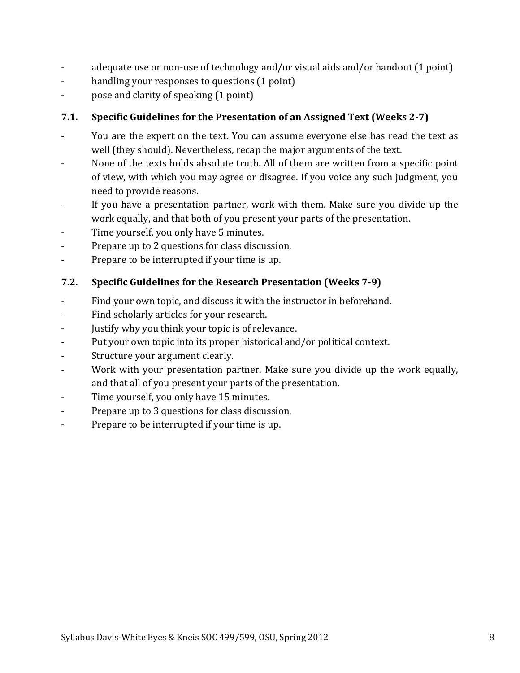- adequate use or non-use of technology and/or visual aids and/or handout (1 point)
- handling your responses to questions (1 point)
- pose and clarity of speaking (1 point)

# **7.1. Specific Guidelines for the Presentation of an Assigned Text (Weeks 2-7)**

- You are the expert on the text. You can assume everyone else has read the text as well (they should). Nevertheless, recap the major arguments of the text.
- None of the texts holds absolute truth. All of them are written from a specific point of view, with which you may agree or disagree. If you voice any such judgment, you need to provide reasons.
- If you have a presentation partner, work with them. Make sure you divide up the work equally, and that both of you present your parts of the presentation.
- Time yourself, you only have 5 minutes.
- Prepare up to 2 questions for class discussion.
- Prepare to be interrupted if your time is up.

# **7.2. Specific Guidelines for the Research Presentation (Weeks 7-9)**

- Find your own topic, and discuss it with the instructor in beforehand.
- Find scholarly articles for your research.
- Justify why you think your topic is of relevance.
- Put your own topic into its proper historical and/or political context.
- Structure your argument clearly.
- Work with your presentation partner. Make sure you divide up the work equally, and that all of you present your parts of the presentation.
- Time yourself, you only have 15 minutes.
- Prepare up to 3 questions for class discussion.
- Prepare to be interrupted if your time is up.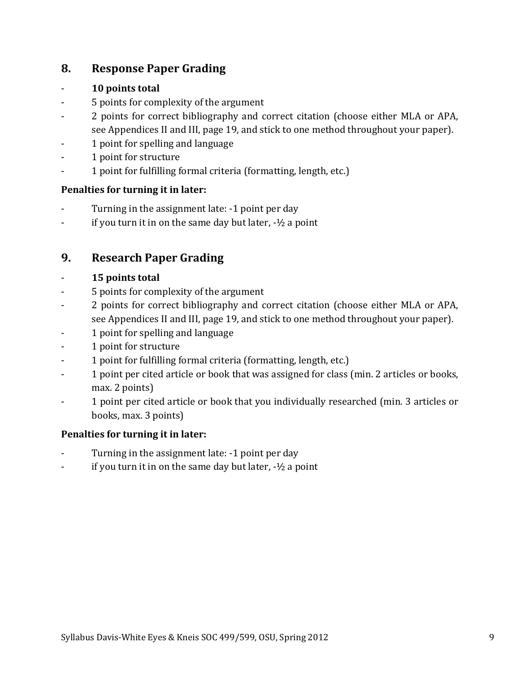# **8. Response Paper Grading**

# - **10 points total**

- 5 points for complexity of the argument
- 2 points for correct bibliography and correct citation (choose either MLA or APA, see Appendices II and III, page [19,](#page-18-0) and stick to one method throughout your paper).
- 1 point for spelling and language
- 1 point for structure
- 1 point for fulfilling formal criteria (formatting, length, etc.)

### **Penalties for turning it in later:**

- Turning in the assignment late: -1 point per day
- if you turn it in on the same day but later, -½ a point

# **9. Research Paper Grading**

### - **15 points total**

- 5 points for complexity of the argument
- 2 points for correct bibliography and correct citation (choose either MLA or APA, see Appendices II and III, page [19,](#page-18-0) and stick to one method throughout your paper).
- 1 point for spelling and language
- 1 point for structure
- 1 point for fulfilling formal criteria (formatting, length, etc.)
- 1 point per cited article or book that was assigned for class (min. 2 articles or books, max. 2 points)
- 1 point per cited article or book that you individually researched (min. 3 articles or books, max. 3 points)

#### **Penalties for turning it in later:**

- Turning in the assignment late: -1 point per day
- if you turn it in on the same day but later,  $-\frac{1}{2}$  a point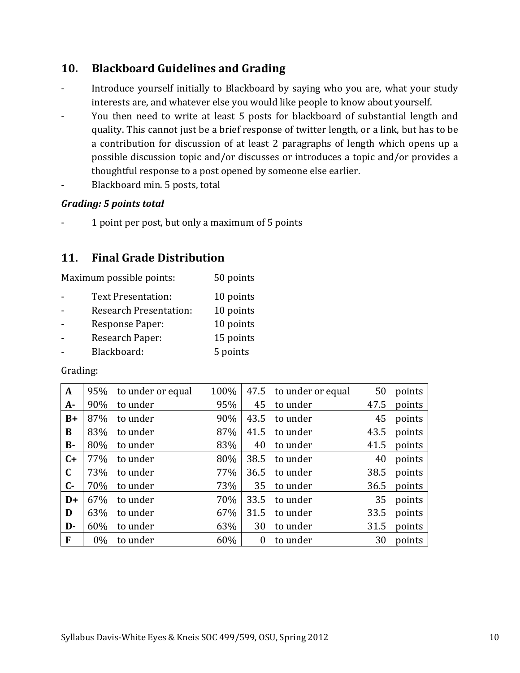# **10. Blackboard Guidelines and Grading**

- Introduce yourself initially to Blackboard by saying who you are, what your study interests are, and whatever else you would like people to know about yourself.
- You then need to write at least 5 posts for blackboard of substantial length and quality. This cannot just be a brief response of twitter length, or a link, but has to be a contribution for discussion of at least 2 paragraphs of length which opens up a possible discussion topic and/or discusses or introduces a topic and/or provides a thoughtful response to a post opened by someone else earlier.
- Blackboard min. 5 posts, total

### *Grading: 5 points total*

- 1 point per post, but only a maximum of 5 points

# **11. Final Grade Distribution**

| Maximum possible points:<br>50 points |  |  |  |  |  |
|---------------------------------------|--|--|--|--|--|
|---------------------------------------|--|--|--|--|--|

- Text Presentation: 10 points - Research Presentation: 10 points
- Response Paper: 10 points
- Research Paper: 15 points
- Blackboard: 5 points

#### Grading:

| $\mathbf{A}$ | 95%   | to under or equal | 100% | 47.5     | to under or equal | 50   | points |
|--------------|-------|-------------------|------|----------|-------------------|------|--------|
| $A -$        | 90%   | to under          | 95%  | 45       | to under          | 47.5 | points |
| $B+$         | 87%   | to under          | 90%  | 43.5     | to under          | 45   | points |
| B            | 83%   | to under          | 87%  | 41.5     | to under          | 43.5 | points |
| <b>B-</b>    | 80%   | to under          | 83%  | 40       | to under          | 41.5 | points |
| $C+$         | 77%   | to under          | 80%  | 38.5     | to under          | 40   | points |
| $\mathbf C$  | 73%   | to under          | 77%  | 36.5     | to under          | 38.5 | points |
| $C -$        | 70%   | to under          | 73%  | 35       | to under          | 36.5 | points |
| $D+$         | 67%   | to under          | 70%  | 33.5     | to under          | 35   | points |
| D            | 63%   | to under          | 67%  | 31.5     | to under          | 33.5 | points |
| D-           | 60%   | to under          | 63%  | 30       | to under          | 31.5 | points |
| F            | $0\%$ | to under          | 60%  | $\theta$ | to under          | 30   | points |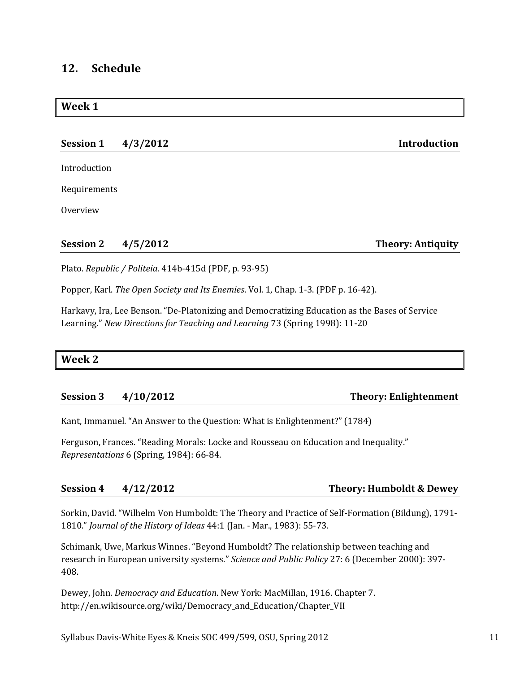### **12. Schedule**

# **Week 1 Session 1 4/3/2012 Introduction**

Introduction

Requirements

Overview

#### **Session 2 4/5/2012 Theory: Antiquity**

Plato. *Republic / Politeia*. 414b-415d (PDF, p. 93-95)

Popper, Karl. *The Open Society and Its Enemies*. Vol. 1, Chap. 1-3. (PDF p. 16-42).

Harkavy, Ira, Lee Benson. "De-Platonizing and Democratizing Education as the Bases of Service Learning." *New Directions for Teaching and Learning* 73 (Spring 1998): 11-20

#### **Week 2**

# **Session 3 4/10/2012 Theory: Enlightenment**

Kant, Immanuel. "An Answer to the Question: What is Enlightenment?" (1784)

Ferguson, Frances. "Reading Morals: Locke and Rousseau on Education and Inequality." *Representations* 6 (Spring, 1984): 66-84.

| <b>Session 4</b> | 4/12/2012 | <b>Theory: Humboldt &amp; Dewey</b> |
|------------------|-----------|-------------------------------------|
|------------------|-----------|-------------------------------------|

Sorkin, David. "Wilhelm Von Humboldt: The Theory and Practice of Self-Formation (Bildung), 1791- 1810." *Journal of the History of Ideas* 44:1 (Jan. - Mar., 1983): 55-73.

Schimank, Uwe, Markus Winnes. "Beyond Humboldt? The relationship between teaching and research in European university systems." *Science and Public Policy* 27: 6 (December 2000): 397- 408.

Dewey, John. *Democracy and Education*. New York: MacMillan, 1916. Chapter 7. http://en.wikisource.org/wiki/Democracy\_and\_Education/Chapter\_VII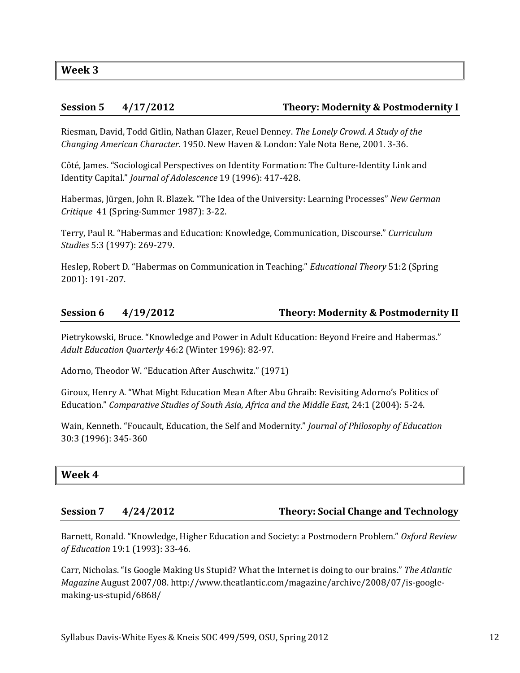### **Session 5 4/17/2012 Theory: Modernity & Postmodernity I**

Riesman, David, Todd Gitlin, Nathan Glazer, Reuel Denney. *The Lonely Crowd. A Study of the Changing American Character.* 1950. New Haven & London: Yale Nota Bene, 2001. 3-36.

Côté, James. "Sociological Perspectives on Identity Formation: The Culture-Identity Link and Identity Capital." *Journal of Adolescence* 19 (1996): 417-428.

Habermas, Jürgen, John R. Blazek. "The Idea of the University: Learning Processes" *New German Critique* 41 (Spring-Summer 1987): 3-22.

Terry, Paul R. "Habermas and Education: Knowledge, Communication, Discourse." *Curriculum Studies* 5:3 (1997): 269-279.

Heslep, Robert D. "Habermas on Communication in Teaching." *Educational Theory* 51:2 (Spring 2001): 191-207.

#### **Session 6 4/19/2012 Theory: Modernity & Postmodernity II**

Pietrykowski, Bruce. "Knowledge and Power in Adult Education: Beyond Freire and Habermas." *Adult Education Quarterly* 46:2 (Winter 1996): 82-97.

Adorno, Theodor W. "Education After Auschwitz." (1971)

Giroux, Henry A. "What Might Education Mean After Abu Ghraib: Revisiting Adorno's Politics of Education." *Comparative Studies of South Asia, Africa and the Middle East,* 24:1 (2004): 5-24.

Wain, Kenneth. "Foucault, Education, the Self and Modernity." *Journal of Philosophy of Education* 30:3 (1996): 345-360

#### **Week 4**

#### **Session 7 4/24/2012 Theory: Social Change and Technology**

Barnett, Ronald. "Knowledge, Higher Education and Society: a Postmodern Problem." *Oxford Review of Education* 19:1 (1993): 33-46.

Carr, Nicholas. "Is Google Making Us Stupid? What the Internet is doing to our brains." *The Atlantic Magazine* August 2007/08. http://www.theatlantic.com/magazine/archive/2008/07/is-googlemaking-us-stupid/6868/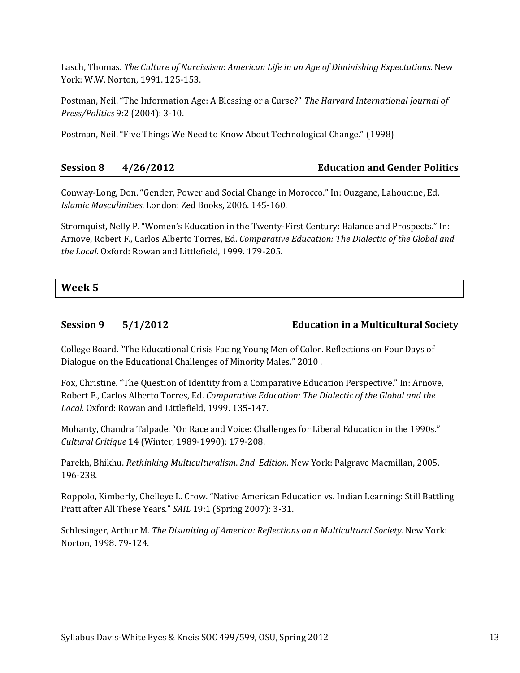Lasch, Thomas. *The Culture of Narcissism: American Life in an Age of Diminishing Expectations.* New York: W.W. Norton, 1991. 125-153.

Postman, Neil. "The Information Age: A Blessing or a Curse?" *The Harvard International Journal of Press/Politics* 9:2 (2004): 3-10.

Postman, Neil. "Five Things We Need to Know About Technological Change." (1998)

**Session 8 4/26/2012 Education and Gender Politics**

Conway-Long, Don. "Gender, Power and Social Change in Morocco." In: Ouzgane, Lahoucine, Ed. *Islamic Masculinities*. London: Zed Books, 2006. 145-160.

Stromquist, Nelly P. "Women's Education in the Twenty-First Century: Balance and Prospects." In: Arnove, Robert F., Carlos Alberto Torres, Ed. *Comparative Education: The Dialectic of the Global and the Local.* Oxford: Rowan and Littlefield, 1999. 179-205.

**Week 5**

# **Session 9 5/1/2012 Education in a Multicultural Society**

College Board. "The Educational Crisis Facing Young Men of Color. Reflections on Four Days of Dialogue on the Educational Challenges of Minority Males." 2010 .

Fox, Christine. "The Question of Identity from a Comparative Education Perspective." In: Arnove, Robert F., Carlos Alberto Torres, Ed. *Comparative Education: The Dialectic of the Global and the Local.* Oxford: Rowan and Littlefield, 1999. 135-147.

Mohanty, Chandra Talpade. "On Race and Voice: Challenges for Liberal Education in the 1990s." *Cultural Critique* 14 (Winter, 1989-1990): 179-208.

Parekh, Bhikhu. *Rethinking Multiculturalism*. *2nd Edition.* New York: Palgrave Macmillan, 2005. 196-238.

Roppolo, Kimberly, Chelleye L. Crow. "Native American Education vs. Indian Learning: Still Battling Pratt after All These Years." *SAIL* 19:1 (Spring 2007): 3-31.

Schlesinger, Arthur M. *The Disuniting of America: Reflections on a Multicultural Society.* New York: Norton, 1998. 79-124.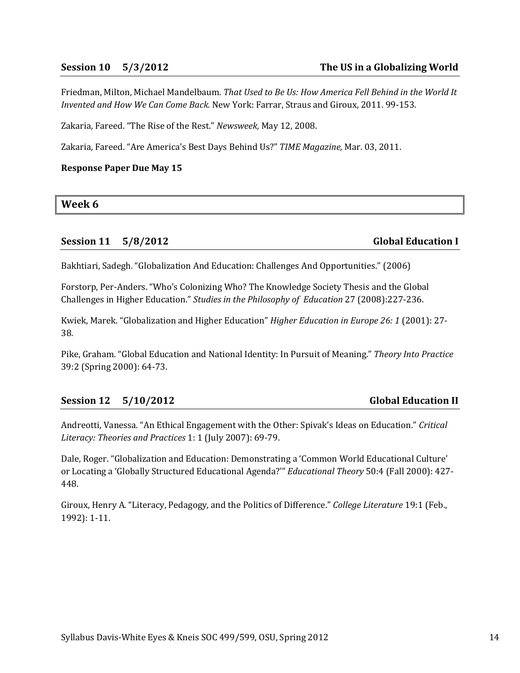Friedman, Milton, Michael Mandelbaum. *That Used to Be Us: How America Fell Behind in the World It Invented and How We Can Come Back.* New York: Farrar, Straus and Giroux, 2011. 99-153.

Zakaria, Fareed. "The Rise of the Rest." *Newsweek,* May 12, 2008.

Zakaria, Fareed. "Are America's Best Days Behind Us?" *TIME Magazine,* Mar. 03, 2011.

#### **Response Paper Due May 15**

**Week 6**

#### **Session 11 5/8/2012 Global Education I**

Bakhtiari, Sadegh. "Globalization And Education: Challenges And Opportunities." (2006)

Forstorp, Per-Anders. "Who's Colonizing Who? The Knowledge Society Thesis and the Global Challenges in Higher Education." *Studies in the Philosophy of Education* 27 (2008):227-236.

Kwiek, Marek. "Globalization and Higher Education" *Higher Education in Europe 26: 1* (2001): 27- 38.

Pike, Graham. "Global Education and National Identity: In Pursuit of Meaning." *Theory Into Practice* 39:2 (Spring 2000): 64-73.

#### **Session 12 5/10/2012 Global Education II**

Andreotti, Vanessa. "An Ethical Engagement with the Other: Spivak's Ideas on Education." *Critical Literacy: Theories and Practices* 1: 1 (July 2007): 69-79.

Dale, Roger. "Globalization and Education: Demonstrating a 'Common World Educational Culture' or Locating a 'Globally Structured Educational Agenda?'" *Educational Theory* 50:4 (Fall 2000): 427- 448.

Giroux, Henry A. "Literacy, Pedagogy, and the Politics of Difference." *College Literature* 19:1 (Feb., 1992): 1-11.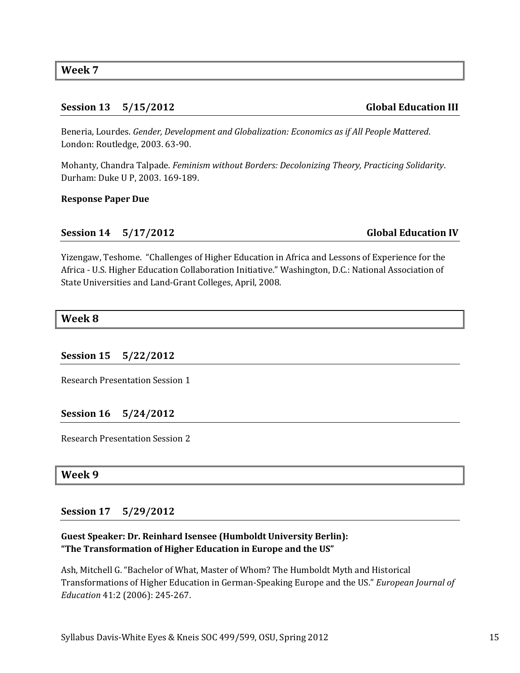#### **Week 7**

#### **Session 13 5/15/2012 Global Education III**

Beneria, Lourdes. *Gender, Development and Globalization: Economics as if All People Mattered*. London: Routledge, 2003. 63-90.

Mohanty, Chandra Talpade. *Feminism without Borders: Decolonizing Theory, Practicing Solidarity*. Durham: Duke U P, 2003. 169-189.

#### **Response Paper Due**

#### **Session 14 5/17/2012 Global Education IV**

Yizengaw, Teshome. "Challenges of Higher Education in Africa and Lessons of Experience for the Africa - U.S. Higher Education Collaboration Initiative." Washington, D.C.: National Association of State Universities and Land-Grant Colleges, April, 2008.

#### **Week 8**

#### **Session 15 5/22/2012**

Research Presentation Session 1

#### **Session 16 5/24/2012**

Research Presentation Session 2

#### **Week 9**

#### **Session 17 5/29/2012**

#### **Guest Speaker: Dr. Reinhard Isensee (Humboldt University Berlin): "The Transformation of Higher Education in Europe and the US"**

Ash, Mitchell G. "Bachelor of What, Master of Whom? The Humboldt Myth and Historical Transformations of Higher Education in German-Speaking Europe and the US." *European Journal of Education* 41:2 (2006): 245-267.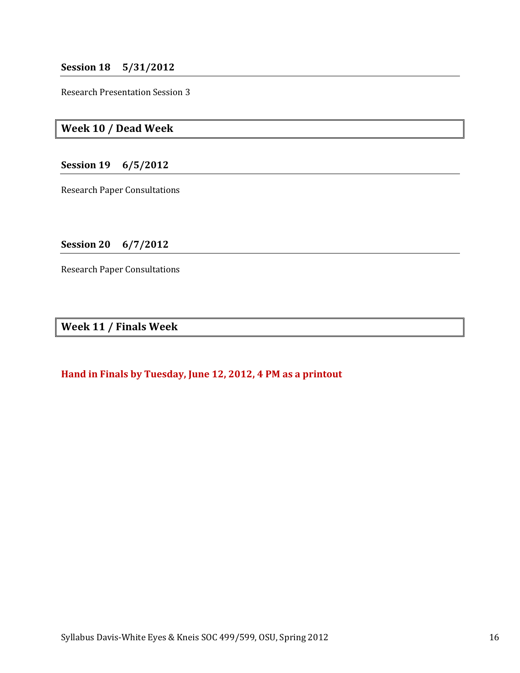# **Session 18 5/31/2012**

Research Presentation Session 3

# **Week 10 / Dead Week**

### **Session 19 6/5/2012**

Research Paper Consultations

# **Session 20 6/7/2012**

Research Paper Consultations

**Week 11 / Finals Week**

#### **Hand in Finals by Tuesday, June 12, 2012, 4 PM as a printout**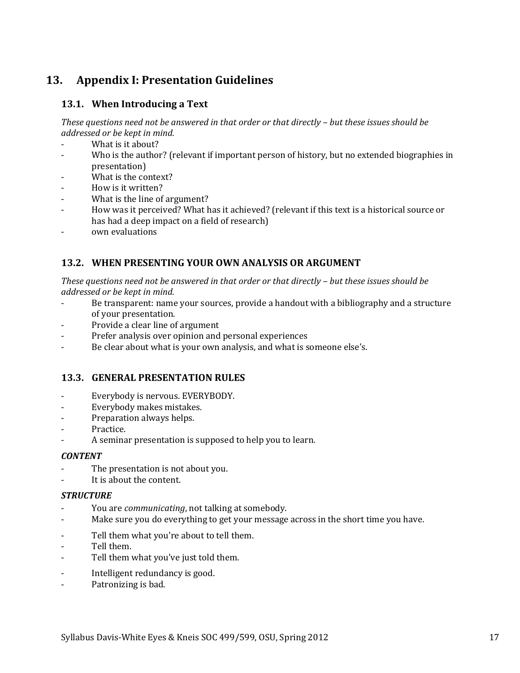# <span id="page-16-0"></span>**13. Appendix I: Presentation Guidelines**

### **13.1. When Introducing a Text**

*These questions need not be answered in that order or that directly – but these issues should be addressed or be kept in mind.*

- What is it about?
- Who is the author? (relevant if important person of history, but no extended biographies in presentation)
- What is the context?
- How is it written?
- What is the line of argument?
- How was it perceived? What has it achieved? (relevant if this text is a historical source or has had a deep impact on a field of research)
- own evaluations

#### **13.2. WHEN PRESENTING YOUR OWN ANALYSIS OR ARGUMENT**

*These questions need not be answered in that order or that directly – but these issues should be addressed or be kept in mind.*

- Be transparent: name your sources, provide a handout with a bibliography and a structure of your presentation.
- Provide a clear line of argument
- Prefer analysis over opinion and personal experiences
- Be clear about what is your own analysis, and what is someone else's.

#### **13.3. GENERAL PRESENTATION RULES**

- Everybody is nervous. EVERYBODY.
- Everybody makes mistakes.
- Preparation always helps.
- Practice.
- A seminar presentation is supposed to help you to learn.

#### *CONTENT*

- The presentation is not about you.
- It is about the content.

#### *STRUCTURE*

- You are *communicating*, not talking at somebody.
- Make sure you do everything to get your message across in the short time you have.
- Tell them what you're about to tell them.
- Tell them.
- Tell them what you've just told them.
- Intelligent redundancy is good.
- Patronizing is bad.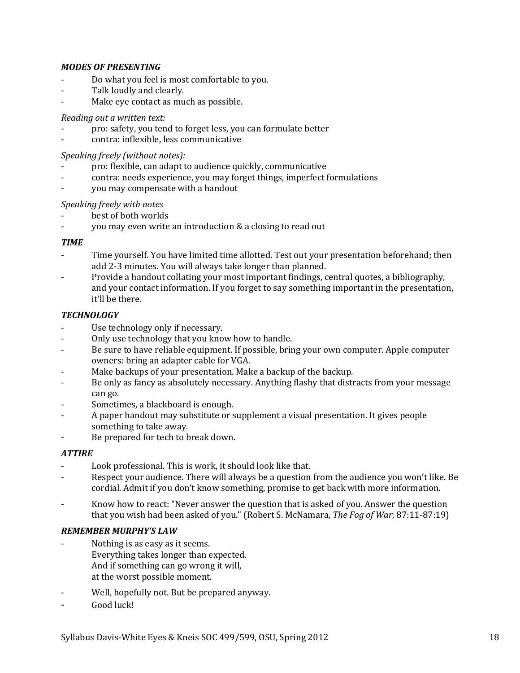#### *MODES OF PRESENTING*

- Do what you feel is most comfortable to you.
- Talk loudly and clearly.
- Make eye contact as much as possible.

#### *Reading out a written text:*

- pro: safety, you tend to forget less, you can formulate better
- contra: inflexible, less communicative

#### *Speaking freely (without notes):*

- pro: flexible, can adapt to audience quickly, communicative
- contra: needs experience, you may forget things, imperfect formulations
- you may compensate with a handout

#### *Speaking freely with notes*

- best of both worlds
- you may even write an introduction & a closing to read out

#### *TIME*

- Time yourself. You have limited time allotted. Test out your presentation beforehand; then add 2-3 minutes. You will always take longer than planned.
- Provide a handout collating your most important findings, central quotes, a bibliography, and your contact information. If you forget to say something important in the presentation, it'll be there.

#### *TECHNOLOGY*

- Use technology only if necessary.
- Only use technology that you know how to handle.
- Be sure to have reliable equipment. If possible, bring your own computer. Apple computer owners: bring an adapter cable for VGA.
- Make backups of your presentation. Make a backup of the backup.
- Be only as fancy as absolutely necessary. Anything flashy that distracts from your message can go.
- Sometimes, a blackboard is enough.
- A paper handout may substitute or supplement a visual presentation. It gives people something to take away.
- Be prepared for tech to break down.

#### *ATTIRE*

- Look professional. This is work, it should look like that.
- Respect your audience. There will always be a question from the audience you won't like. Be cordial. Admit if you don't know something, promise to get back with more information.
- Know how to react: "Never answer the question that is asked of you. Answer the question that you wish had been asked of you." (Robert S. McNamara, *The Fog of War*, 87:11-87:19)

#### *REMEMBER MURPHY'S LAW*

- Nothing is as easy as it seems. Everything takes longer than expected. And if something can go wrong it will, at the worst possible moment.
- Well, hopefully not. But be prepared anyway.
- Good luck!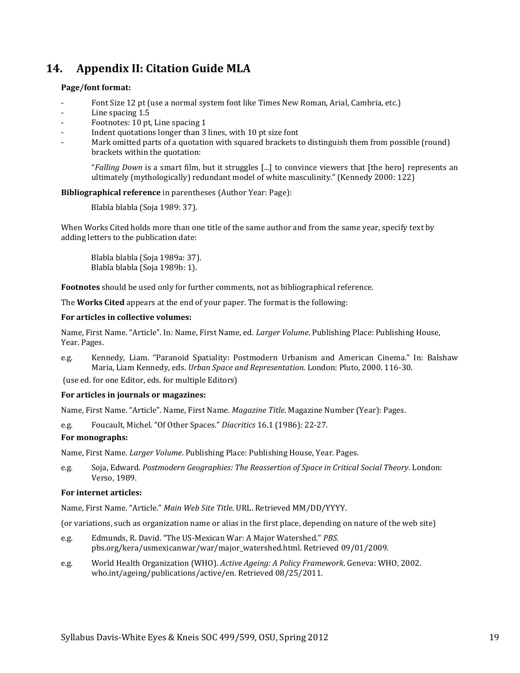# <span id="page-18-0"></span>**14. Appendix II: Citation Guide MLA**

#### **Page/font format:**

- Font Size 12 pt (use a normal system font like Times New Roman, Arial, Cambria, etc.)
- Line spacing 1.5
- Footnotes: 10 pt, Line spacing 1
- Indent quotations longer than 3 lines, with 10 pt size font
- Mark omitted parts of a quotation with squared brackets to distinguish them from possible (round) brackets within the quotation:

"*Falling Down* is a smart film, but it struggles [...] to convince viewers that [the hero] represents an ultimately (mythologically) redundant model of white masculinity." (Kennedy 2000: 122)

#### **Bibliographical reference** in parentheses (Author Year: Page):

Blabla blabla (Soja 1989: 37).

When Works Cited holds more than one title of the same author and from the same year, specify text by adding letters to the publication date:

Blabla blabla (Soja 1989a: 37). Blabla blabla (Soja 1989b: 1).

**Footnotes** should be used only for further comments, not as bibliographical reference.

The **Works Cited** appears at the end of your paper. The format is the following:

#### **For articles in collective volumes:**

Name, First Name. "Article". In: Name, First Name, ed. *Larger Volume*. Publishing Place: Publishing House, Year. Pages.

e.g. Kennedy, Liam. "Paranoid Spatiality: Postmodern Urbanism and American Cinema." In: Balshaw Maria, Liam Kennedy, eds. *Urban Space and Representation.* London: Pluto, 2000. 116-30.

(use ed. for one Editor, eds. for multiple Editors)

#### **For articles in journals or magazines:**

Name, First Name. "Article". Name, First Name. *Magazine Title*. Magazine Number (Year): Pages.

e.g. Foucault, Michel. "Of Other Spaces." *Diacritics* 16.1 (1986): 22-27.

#### **For monographs:**

Name, First Name. *Larger Volume*. Publishing Place: Publishing House, Year. Pages.

e.g. Soja, Edward. *Postmodern Geographies: The Reassertion of Space in Critical Social Theory*. London: Verso, 1989.

#### **For internet articles:**

Name, First Name. "Article." *Main Web Site Title*. URL. Retrieved MM/DD/YYYY.

(or variations, such as organization name or alias in the first place, depending on nature of the web site)

- e.g. Edmunds, R. David. "The US-Mexican War: A Major Watershed." *PBS.*  pbs.org/kera/usmexicanwar/war/major\_watershed.html. Retrieved 09/01/2009.
- e.g. World Health Organization (WHO). *Active Ageing: A Policy Framework*. Geneva: WHO, 2002. who.int/ageing/publications/active/en. Retrieved 08/25/2011.